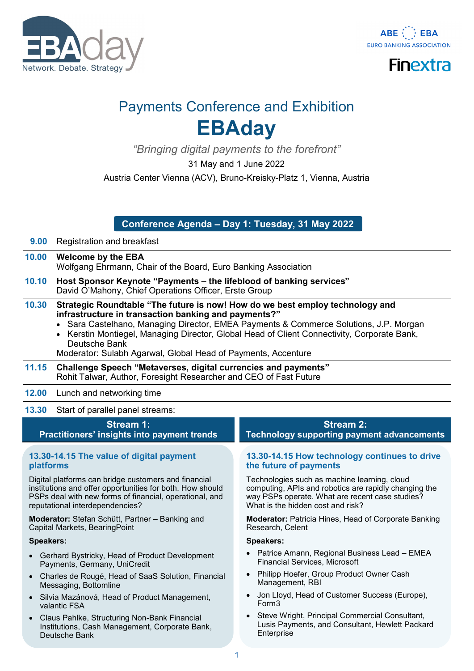





# Payments Conference and Exhibition **EBAday**

*"Bringing digital payments to the forefront"*

31 May and 1 June 2022

Austria Center Vienna (ACV), Bruno-Kreisky-Platz 1, Vienna, Austria

# **Conference Agenda – Day 1: Tuesday, 31 May 2022**

- **9.00** Registration and breakfast
- **10.00 Welcome by the EBA** Wolfgang Ehrmann, Chair of the Board, Euro Banking Association
- **10.10 Host Sponsor Keynote "Payments – the lifeblood of banking services"** David O'Mahony, Chief Operations Officer, Erste Group
- **10.30 Strategic Roundtable "The future is now! How do we best employ technology and infrastructure in transaction banking and payments?"**
	- Sara Castelhano, Managing Director, EMEA Payments & Commerce Solutions, J.P. Morgan
	- Kerstin Montiegel, Managing Director, Global Head of Client Connectivity, Corporate Bank, Deutsche Bank

Moderator: Sulabh Agarwal, Global Head of Payments, Accenture

- **11.15 Challenge Speech "Metaverses, digital currencies and payments"**  Rohit Talwar, Author, Foresight Researcher and CEO of Fast Future
- **12.00** Lunch and networking time

**13.30** Start of parallel panel streams:

# **Stream 1: Practitioners' insights into payment trends**

## 13.30-14.15 The value of digital payment **platforms**

Digital platforms can bridge customers and financial institutions and offer opportunities for both. How should PSPs deal with new forms of financial, operational, and reputational interdependencies?

**Moderator:** Stefan Schütt, Partner – Banking and Capital Markets, BearingPoint

## **Speakers:**

- Gerhard Bystricky, Head of Product Development Payments, Germany, UniCredit
- Charles de Rougé, Head of SaaS Solution, Financial Messaging, Bottomline
- Silvia Mazánová, Head of Product Management, valantic FSA
- Claus Pahlke, Structuring Non-Bank Financial Institutions, Cash Management, Corporate Bank, Deutsche Bank

# **Stream 2:**

**Technology supporting payment advancements**

## 13.30-14.15 How technology continues to drive **the future of payments**

Technologies such as machine learning, cloud computing, APIs and robotics are rapidly changing the way PSPs operate. What are recent case studies? What is the hidden cost and risk?

**Moderator:** Patricia Hines, Head of Corporate Banking Research, Celent

- Patrice Amann, Regional Business Lead EMEA Financial Services, Microsoft
- Philipp Hoefer, Group Product Owner Cash Management, RBI
- Jon Lloyd, Head of Customer Success (Europe), Form3
- Steve Wright, Principal Commercial Consultant, Lusis Payments, and Consultant, Hewlett Packard **Enterprise**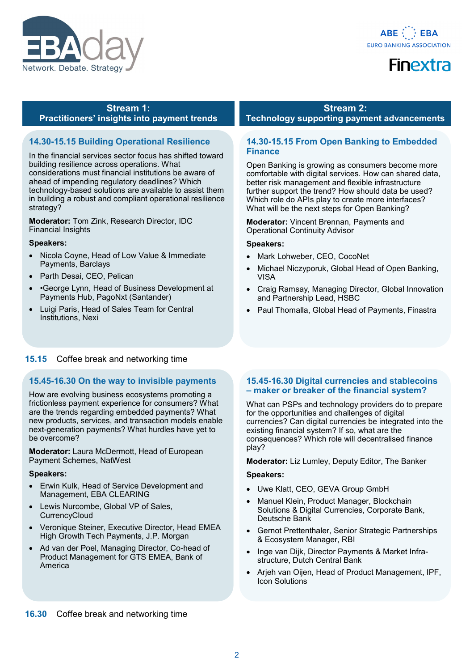



#### **Stream 1: Practitioners' insights into payment trends**

# **14.30-15.15 Building Operational Resilience**

In the financial services sector focus has shifted toward building resilience across operations. What considerations must financial institutions be aware of ahead of impending regulatory deadlines? Which technology-based solutions are available to assist them in building a robust and compliant operational resilience strategy?

**Moderator:** Tom Zink, Research Director, IDC Financial Insights

#### **Speakers:**

- Nicola Coyne, Head of Low Value & Immediate Payments, Barclays
- Parth Desai, CEO, Pelican
- •George Lynn, Head of Business Development at Payments Hub, PagoNxt (Santander)
- Luigi Paris, Head of Sales Team for Central Institutions, Nexi

# **15.15** Coffee break and networking time

# **15.4516.30 On the way to invisible payments**

How are evolving business ecosystems promoting a frictionless payment experience for consumers? What are the trends regarding embedded payments? What new products, services, and transaction models enable next-generation payments? What hurdles have yet to be overcome?

**Moderator:** Laura McDermott, Head of European Payment Schemes, NatWest

#### **Speakers:**

- Erwin Kulk, Head of Service Development and Management, EBA CLEARING
- Lewis Nurcombe, Global VP of Sales, **CurrencyCloud**
- Veronique Steiner, Executive Director, Head EMEA High Growth Tech Payments, J.P. Morgan
- Ad van der Poel, Managing Director, Co-head of Product Management for GTS EMEA, Bank of America

# **Stream 2:**

**Technology supporting payment advancements**

# **14.30-15.15 From Open Banking to Embedded Finance**

Open Banking is growing as consumers become more comfortable with digital services. How can shared data, better risk management and flexible infrastructure further support the trend? How should data be used? Which role do APIs play to create more interfaces? What will be the next steps for Open Banking?

**Moderator:** Vincent Brennan, Payments and Operational Continuity Advisor

## **Speakers:**

- Mark Lohweber, CEO, CocoNet
- Michael Niczyporuk, Global Head of Open Banking, VISA
- Craig Ramsay, Managing Director, Global Innovation and Partnership Lead, HSBC
- Paul Thomalla, Global Head of Payments, Finastra

# **15.4516.30 Digital currencies and stablecoins – maker or breaker of the financial system?**

What can PSPs and technology providers do to prepare for the opportunities and challenges of digital currencies? Can digital currencies be integrated into the existing financial system? If so, what are the consequences? Which role will decentralised finance play?

**Moderator:** Liz Lumley, Deputy Editor, The Banker

- Uwe Klatt, CEO, GEVA Group GmbH
- Manuel Klein, Product Manager, Blockchain Solutions & Digital Currencies, Corporate Bank, Deutsche Bank
- Gernot Prettenthaler, Senior Strategic Partnerships & Ecosystem Manager, RBI
- Inge van Dijk, Director Payments & Market Infrastructure, Dutch Central Bank
- Arjeh van Oijen, Head of Product Management, IPF, Icon Solutions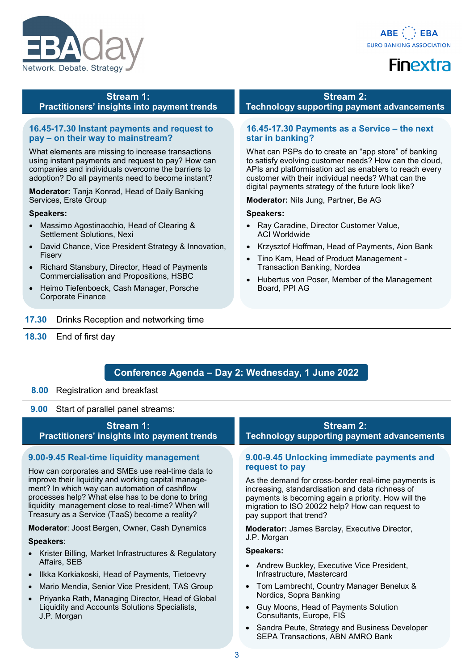



## **Stream 1: Practitioners' insights into payment trends**

### **16.4517.30 Instant payments and request to pay – on their way to mainstream?**

What elements are missing to increase transactions using instant payments and request to pay? How can companies and individuals overcome the barriers to adoption? Do all payments need to become instant?

**Moderator:** Tanja Konrad, Head of Daily Banking Services, Erste Group

#### **Speakers:**

- Massimo Agostinacchio, Head of Clearing & Settlement Solutions, Nexi
- David Chance, Vice President Strategy & Innovation, Fiserv
- Richard Stansbury, Director, Head of Payments Commercialisation and Propositions, HSBC
- Heimo Tiefenboeck, Cash Manager, Porsche Corporate Finance
- **17.30** Drinks Reception and networking time
- **18.30** End of first day

#### **Stream 2:**

**Technology supporting payment advancements**

## **16.4517.30 Payments as a Service – the next star in banking?**

What can PSPs do to create an "app store" of banking to satisfy evolving customer needs? How can the cloud, APIs and platformisation act as enablers to reach every customer with their individual needs? What can the digital payments strategy of the future look like?

**Moderator:** Nils Jung, Partner, Be AG

#### **Speakers:**

- Ray Caradine, Director Customer Value, ACI Worldwide
- Krzysztof Hoffman, Head of Payments, Aion Bank
- Tino Kam, Head of Product Management Transaction Banking, Nordea
- Hubertus von Poser, Member of the Management Board, PPI AG

# **Conference Agenda – Day 2: Wednesday, 1 June 2022**

## **8.00** Registration and breakfast

**9.00** Start of parallel panel streams:

# **Stream 1: Practitioners' insights into payment trends**

## **9.009.45 Real-time liquidity management**

How can corporates and SMEs use real-time data to improve their liquidity and working capital management? In which way can automation of cashflow processes help? What else has to be done to bring liquidity management close to real-time? When will Treasury as a Service (TaaS) become a reality?

**Moderator**: Joost Bergen, Owner, Cash Dynamics

#### **Speakers**:

- Krister Billing, Market Infrastructures & Regulatory Affairs, SEB
- Ilkka Korkiakoski, Head of Payments, Tietoevry
- Mario Mendia, Senior Vice President, TAS Group
- Priyanka Rath, Managing Director, Head of Global Liquidity and Accounts Solutions Specialists, J.P. Morgan

**Stream 2: Technology supporting payment advancements**

#### **9.00-9.45 Unlocking immediate payments and request to pay**

As the demand for cross-border real-time payments is increasing, standardisation and data richness of payments is becoming again a priority. How will the migration to ISO 20022 help? How can request to pay support that trend?

**Moderator:** James Barclay, Executive Director, J.P. Morgan

- Andrew Buckley, Executive Vice President, Infrastructure, Mastercard
- Tom Lambrecht, Country Manager Benelux & Nordics, Sopra Banking
- Guy Moons, Head of Payments Solution Consultants, Europe, FIS
- Sandra Peute, Strategy and Business Developer SEPA Transactions, ABN AMRO Bank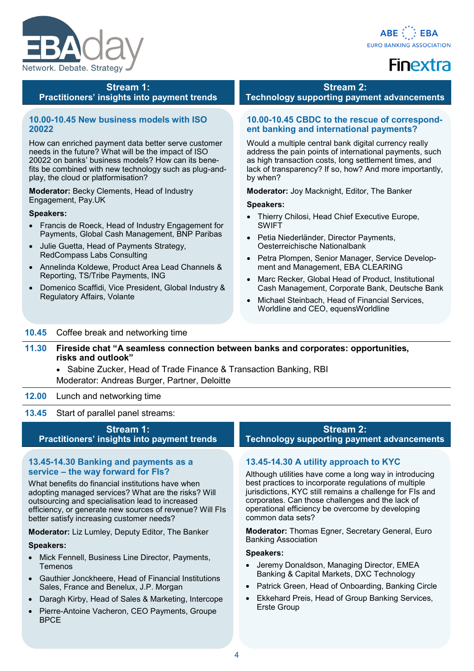



# **Stream 1: Practitioners' insights into payment trends**

# **10.0010.45 New business models with ISO 20022**

How can enriched payment data better serve customer needs in the future? What will be the impact of ISO 20022 on banks' business models? How can its benefits be combined with new technology such as plug-andplay, the cloud or platformisation?

**Moderator:** Becky Clements, Head of Industry Engagement, Pay.UK

#### **Speakers:**

- Francis de Roeck, Head of Industry Engagement for Payments, Global Cash Management, BNP Paribas
- Julie Guetta, Head of Payments Strategy, RedCompass Labs Consulting
- Annelinda Koldewe, Product Area Lead Channels & Reporting, TS/Tribe Payments, ING
- Domenico Scaffidi, Vice President, Global Industry & Regulatory Affairs, Volante

## **Stream 2:**

**Technology supporting payment advancements**

# 10.00-10.45 CBDC to the rescue of correspond**ent banking and international payments?**

Would a multiple central bank digital currency really address the pain points of international payments, such as high transaction costs, long settlement times, and lack of transparency? If so, how? And more importantly, by when?

**Moderator:** Joy Macknight, Editor, The Banker

#### **Speakers:**

- Thierry Chilosi, Head Chief Executive Europe, SWIFT
- Petia Niederländer, Director Payments, Oesterreichische Nationalbank
- Petra Plompen, Senior Manager, Service Development and Management, EBA CLEARING
- Marc Recker, Global Head of Product, Institutional Cash Management, Corporate Bank, Deutsche Bank
- Michael Steinbach, Head of Financial Services, Worldline and CEO, equensWorldline

## **10.45** Coffee break and networking time

- **11.30 Fireside chat "A seamless connection between banks and corporates: opportunities, risks and outlook"**
	- Sabine Zucker, Head of Trade Finance & Transaction Banking, RBI Moderator: Andreas Burger, Partner, Deloitte

## **12.00** Lunch and networking time

**13.45** Start of parallel panel streams:

## **Stream 1: Practitioners' insights into payment trends**

#### **13.4514.30 Banking and payments as a service – the way forward for FIs?**

What benefits do financial institutions have when adopting managed services? What are the risks? Will outsourcing and specialisation lead to increased efficiency, or generate new sources of revenue? Will FIs better satisfy increasing customer needs?

**Moderator:** Liz Lumley, Deputy Editor, The Banker

#### **Speakers:**

- Mick Fennell, Business Line Director, Payments, Temenos
- Gauthier Jonckheere, Head of Financial Institutions Sales, France and Benelux, J.P. Morgan
- Daragh Kirby, Head of Sales & Marketing, Intercope
- Pierre-Antoine Vacheron, CEO Payments, Groupe BPCE

# **Stream 2:**

**Technology supporting payment advancements**

# **13.4514.30 A utility approach to KYC**

Although utilities have come a long way in introducing best practices to incorporate regulations of multiple jurisdictions, KYC still remains a challenge for FIs and corporates. Can those challenges and the lack of operational efficiency be overcome by developing common data sets?

**Moderator:** Thomas Egner, Secretary General, Euro Banking Association

- Jeremy Donaldson, Managing Director, EMEA Banking & Capital Markets, DXC Technology
- Patrick Green, Head of Onboarding, Banking Circle
- Ekkehard Preis, Head of Group Banking Services, Erste Group